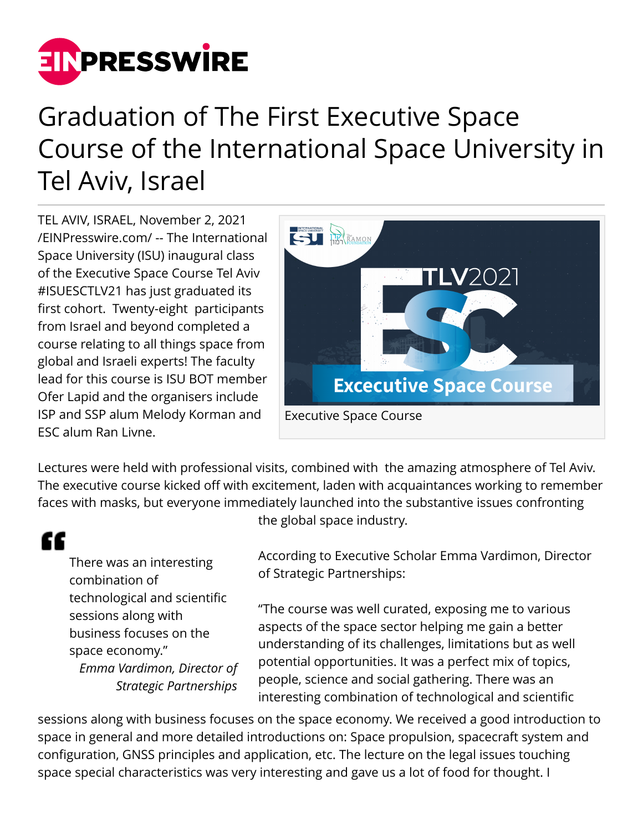

## Graduation of The First Executive Space Course of the International Space University in Tel Aviv, Israel

TEL AVIV, ISRAEL, November 2, 2021 [/EINPresswire.com/](http://www.einpresswire.com) -- The International Space University (ISU) inaugural class of the Executive Space Course Tel Aviv #ISUESCTLV21 has just graduated its first cohort. Twenty-eight participants from Israel and beyond completed a course relating to all things space from global and Israeli experts! The faculty lead for this course is ISU BOT member Ofer Lapid and the organisers include ISP and SSP alum Melody Korman and ESC alum Ran Livne.



Lectures were held with professional visits, combined with the amazing atmosphere of Tel Aviv. The executive course kicked off with excitement, laden with acquaintances working to remember faces with masks, but everyone immediately launched into the substantive issues confronting

## "

There was an interesting combination of technological and scientific sessions along with business focuses on the space economy." *Emma Vardimon, Director of Strategic Partnerships*

the global space industry.

According to Executive Scholar Emma Vardimon, Director of Strategic Partnerships:

"The course was well curated, exposing me to various aspects of the space sector helping me gain a better understanding of its challenges, limitations but as well potential opportunities. It was a perfect mix of topics, people, science and social gathering. There was an interesting combination of technological and scientific

sessions along with business focuses on the space economy. We received a good introduction to space in general and more detailed introductions on: Space propulsion, spacecraft system and configuration, GNSS principles and application, etc. The lecture on the legal issues touching space special characteristics was very interesting and gave us a lot of food for thought. I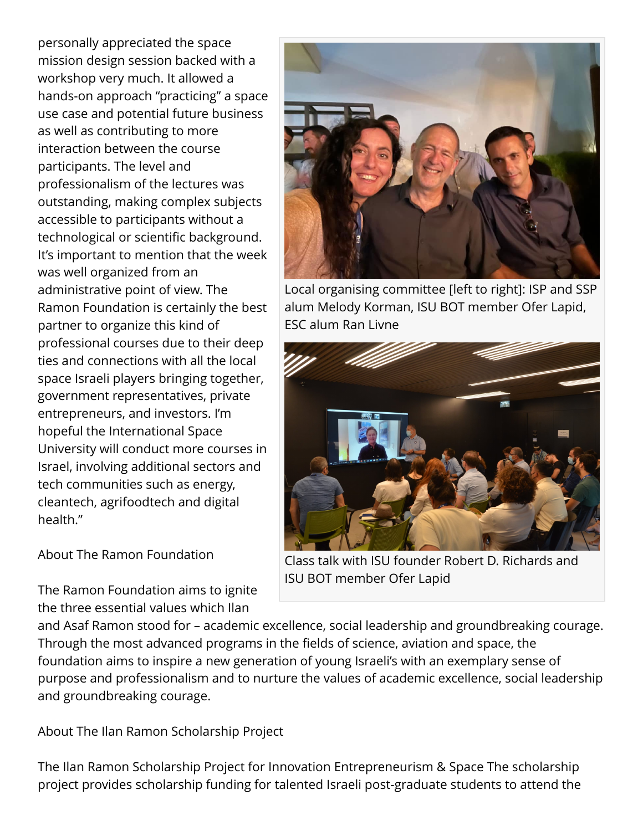personally appreciated the space mission design session backed with a workshop very much. It allowed a hands-on approach "practicing" a space use case and potential future business as well as contributing to more interaction between the course participants. The level and professionalism of the lectures was outstanding, making complex subjects accessible to participants without a technological or scientific background. It's important to mention that the week was well organized from an administrative point of view. The Ramon Foundation is certainly the best partner to organize this kind of professional courses due to their deep ties and connections with all the local space Israeli players bringing together, government representatives, private entrepreneurs, and investors. I'm hopeful the International Space University will conduct more courses in Israel, involving additional sectors and tech communities such as energy, cleantech, agrifoodtech and digital health."

About The Ramon Foundation

The Ramon Foundation aims to ignite the three essential values which Ilan



Local organising committee [left to right]: ISP and SSP alum Melody Korman, ISU BOT member Ofer Lapid, ESC alum Ran Livne



Class talk with ISU founder Robert D. Richards and ISU BOT member Ofer Lapid

and Asaf Ramon stood for – academic excellence, social leadership and groundbreaking courage. Through the most advanced programs in the fields of science, aviation and space, the foundation aims to inspire a new generation of young Israeli's with an exemplary sense of purpose and professionalism and to nurture the values of academic excellence, social leadership and groundbreaking courage.

About The Ilan Ramon Scholarship Project

The Ilan Ramon Scholarship Project for Innovation Entrepreneurism & Space The scholarship project provides scholarship funding for talented Israeli post-graduate students to attend the